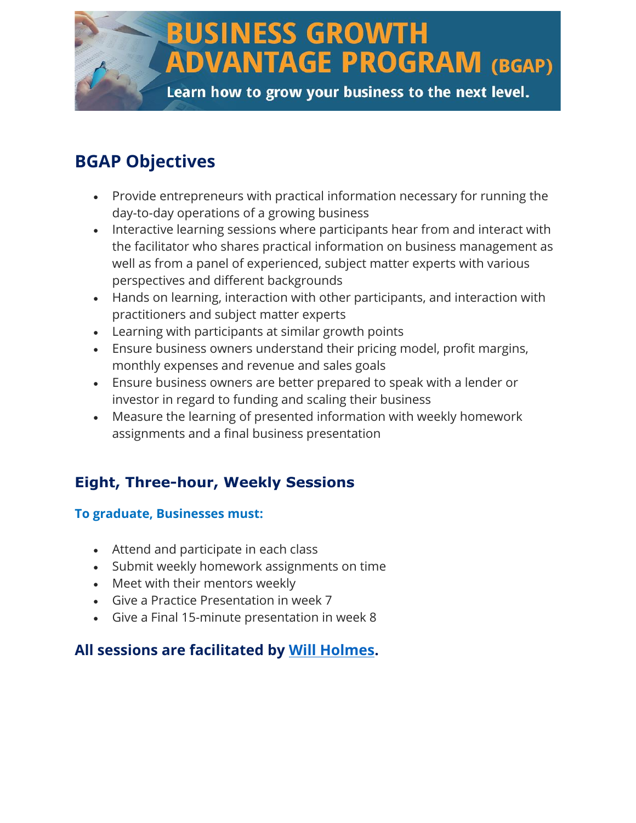## **BUSINESS GROWTH ADVANTAGE PROGRAM (BGAP)** Learn how to grow your business to the next level.

### **BGAP Objectives**

- Provide entrepreneurs with practical information necessary for running the day-to-day operations of a growing business
- Interactive learning sessions where participants hear from and interact with the facilitator who shares practical information on business management as well as from a panel of experienced, subject matter experts with various perspectives and different backgrounds
- Hands on learning, interaction with other participants, and interaction with practitioners and subject matter experts
- Learning with participants at similar growth points
- Ensure business owners understand their pricing model, profit margins, monthly expenses and revenue and sales goals
- Ensure business owners are better prepared to speak with a lender or investor in regard to funding and scaling their business
- Measure the learning of presented information with weekly homework assignments and a final business presentation

### **Eight, Three-hour, Weekly Sessions**

#### **To graduate, Businesses must:**

- Attend and participate in each class
- Submit weekly homework assignments on time
- Meet with their mentors weekly
- Give a Practice Presentation in week 7
- Give a Final 15-minute presentation in week 8

### **All sessions are facilitated by [Will Holmes.](https://whcusa.com/will-holmes-founder-of-whc/)**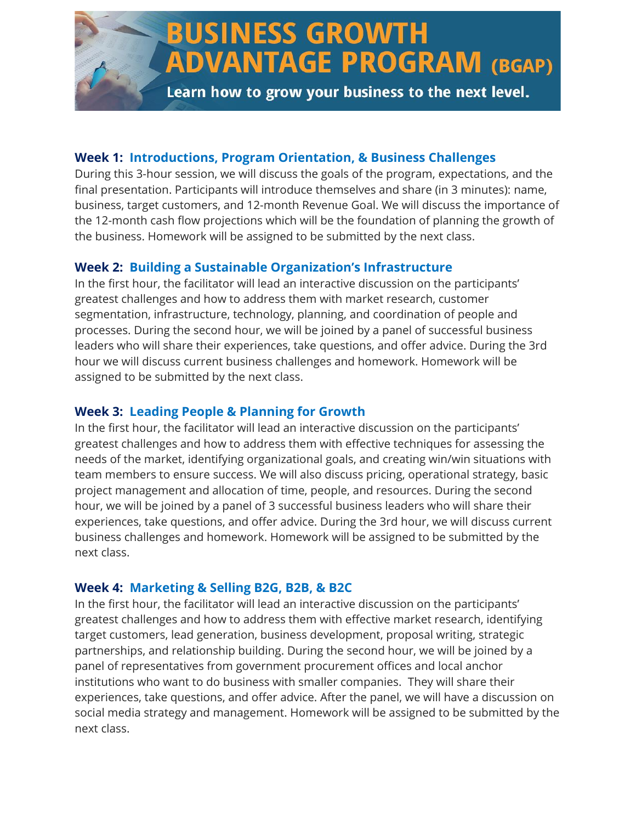# **BUSINESS GROWTH ADVANTAGE PROGRAM (BGAP)**

Learn how to grow your business to the next level.

#### **Week 1: Introductions, Program Orientation, & Business Challenges**

During this 3-hour session, we will discuss the goals of the program, expectations, and the final presentation. Participants will introduce themselves and share (in 3 minutes): name, business, target customers, and 12-month Revenue Goal. We will discuss the importance of the 12-month cash flow projections which will be the foundation of planning the growth of the business. Homework will be assigned to be submitted by the next class.

#### **Week 2: Building a Sustainable Organization's Infrastructure**

In the first hour, the facilitator will lead an interactive discussion on the participants' greatest challenges and how to address them with market research, customer segmentation, infrastructure, technology, planning, and coordination of people and processes. During the second hour, we will be joined by a panel of successful business leaders who will share their experiences, take questions, and offer advice. During the 3rd hour we will discuss current business challenges and homework. Homework will be assigned to be submitted by the next class.

#### **Week 3: Leading People & Planning for Growth**

In the first hour, the facilitator will lead an interactive discussion on the participants' greatest challenges and how to address them with effective techniques for assessing the needs of the market, identifying organizational goals, and creating win/win situations with team members to ensure success. We will also discuss pricing, operational strategy, basic project management and allocation of time, people, and resources. During the second hour, we will be joined by a panel of 3 successful business leaders who will share their experiences, take questions, and offer advice. During the 3rd hour, we will discuss current business challenges and homework. Homework will be assigned to be submitted by the next class.

#### **Week 4: Marketing & Selling B2G, B2B, & B2C**

In the first hour, the facilitator will lead an interactive discussion on the participants' greatest challenges and how to address them with effective market research, identifying target customers, lead generation, business development, proposal writing, strategic partnerships, and relationship building. During the second hour, we will be joined by a panel of representatives from government procurement offices and local anchor institutions who want to do business with smaller companies. They will share their experiences, take questions, and offer advice. After the panel, we will have a discussion on social media strategy and management. Homework will be assigned to be submitted by the next class.